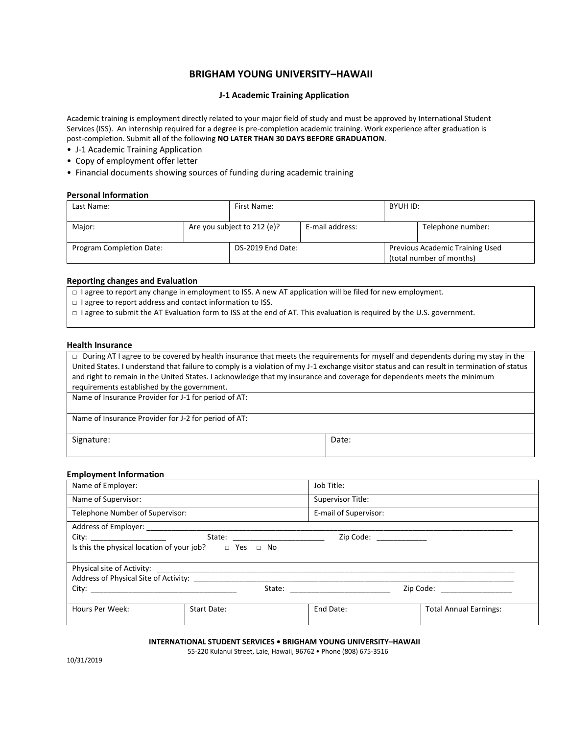# **BRIGHAM YOUNG UNIVERSITY–HAWAII**

# **J-1 Academic Training Application**

Academic training is employment directly related to your major field of study and must be approved by International Student Services (ISS). An internship required for a degree is pre-completion academic training. Work experience after graduation is post-completion. Submit all of the following **NO LATER THAN 30 DAYS BEFORE GRADUATION**.

- J-1 Academic Training Application
- Copy of employment offer letter
- Financial documents showing sources of funding during academic training

## **Personal Information**

| Last Name:               |  | First Name:                 |                 | BYUH ID:                                                    |                   |
|--------------------------|--|-----------------------------|-----------------|-------------------------------------------------------------|-------------------|
| Major:                   |  | Are you subject to 212 (e)? | E-mail address: |                                                             | Telephone number: |
| Program Completion Date: |  | DS-2019 End Date:           |                 | Previous Academic Training Used<br>(total number of months) |                   |

### **Reporting changes and Evaluation**

- □ I agree to report any change in employment to ISS. A new AT application will be filed for new employment.
- □ I agree to report address and contact information to ISS.
- □ I agree to submit the AT Evaluation form to ISS at the end of AT. This evaluation is required by the U.S. government.

#### **Health Insurance**

| $\Box$ During AT I agree to be covered by health insurance that meets the requirements for myself and dependents during my stay in the      |
|---------------------------------------------------------------------------------------------------------------------------------------------|
| United States. I understand that failure to comply is a violation of my J-1 exchange visitor status and can result in termination of status |
| and right to remain in the United States. I acknowledge that my insurance and coverage for dependents meets the minimum                     |
| requirements established by the government.                                                                                                 |
| Name of Insurance Provider for J-1 for period of AT:                                                                                        |
|                                                                                                                                             |
| Name of Insurance Provider for J-2 for period of AT:                                                                                        |

I

| Signature: | Date: |
|------------|-------|

### **Employment Information**

| Name of Employer:                                                                                                                                                                                                              |             |                                   | Job Title:            |                               |
|--------------------------------------------------------------------------------------------------------------------------------------------------------------------------------------------------------------------------------|-------------|-----------------------------------|-----------------------|-------------------------------|
| Name of Supervisor:                                                                                                                                                                                                            |             |                                   | Supervisor Title:     |                               |
| Telephone Number of Supervisor:                                                                                                                                                                                                |             |                                   | E-mail of Supervisor: |                               |
|                                                                                                                                                                                                                                |             |                                   |                       |                               |
| City: the contract of the contract of the contract of the contract of the contract of the contract of the contract of the contract of the contract of the contract of the contract of the contract of the contract of the cont |             | State: __________________________ |                       | Zip Code: ____________        |
| Is this the physical location of your job? $\Box$ Yes $\Box$ No                                                                                                                                                                |             |                                   |                       |                               |
|                                                                                                                                                                                                                                |             |                                   |                       |                               |
|                                                                                                                                                                                                                                |             |                                   |                       |                               |
| City: the contract of the contract of the contract of the contract of the contract of the contract of the contract of the contract of the contract of the contract of the contract of the contract of the contract of the cont |             |                                   |                       | Zip Code: __________________  |
| Hours Per Week:                                                                                                                                                                                                                | Start Date: |                                   | End Date:             | <b>Total Annual Earnings:</b> |

**INTERNATIONAL STUDENT SERVICES • BRIGHAM YOUNG UNIVERSITY–HAWAII** 

55-220 Kulanui Street, Laie, Hawaii, 96762 • Phone (808) 675-3516

10/31/2019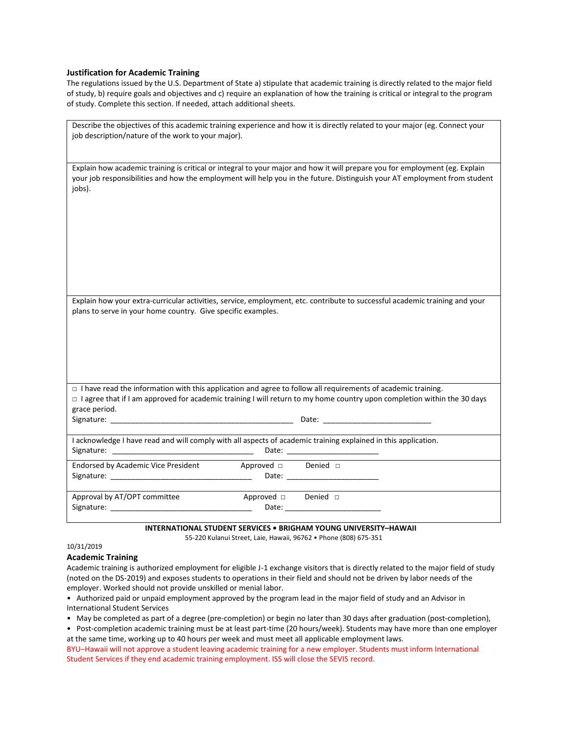### **Justification for Academic Training**

The regulations issued by the U.S. Department of State a) stipulate that academic training is directly related to the major field of study, b) require goals and objectives and c) require an explanation of how the training is critical or integral to the program of study. Complete this section. If needed, attach additional sheets.

| Describe the objectives of this academic training experience and how it is directly related to your major (eg. Connect your<br>job description/nature of the work to your major).                                                                                                         |
|-------------------------------------------------------------------------------------------------------------------------------------------------------------------------------------------------------------------------------------------------------------------------------------------|
| Explain how academic training is critical or integral to your major and how it will prepare you for employment (eg. Explain<br>your job responsibilities and how the employment will help you in the future. Distinguish your AT employment from student<br>jobs).                        |
| Explain how your extra-curricular activities, service, employment, etc. contribute to successful academic training and your<br>plans to serve in your home country. Give specific examples.                                                                                               |
| □ I have read the information with this application and agree to follow all requirements of academic training.<br>□ l agree that if I am approved for academic training I will return to my home country upon completion within the 30 days<br>grace period.                              |
| I acknowledge I have read and will comply with all aspects of academic training explained in this application.<br>Date: __________________________                                                                                                                                        |
| Endorsed by Academic Vice President Approved a Denied a<br>Signature: the contract of the contract of the contract of the contract of the contract of the contract of the contract of the contract of the contract of the contract of the contract of the contract of the contract of the |
| Approval by AT/OPT committee<br>Approved $\square$ Denied $\square$<br>Signature: The contract of the contract of the contract of the contract of the contract of the contract of the                                                                                                     |

### **INTERNATIONAL STUDENT SERVICES • BRIGHAM YOUNG UNIVERSITY–HAWAII**

55-220 Kulanui Street, Laie, Hawaii, 96762 • Phone (808) 675-351

# 10/31/2019

# **Academic Training**

Academic training is authorized employment for eligible J-1 exchange visitors that is directly related to the major field of study (noted on the DS-2019) and exposes students to operations in their field and should not be driven by labor needs of the employer. Worked should not provide unskilled or menial labor.

 • Authorized paid or unpaid employment approved by the program lead in the major field of study and an Advisor in International Student Services

• May be completed as part of a degree (pre-completion) or begin no later than 30 days after graduation (post-completion),

• Post-completion academic training must be at least part-time (20 hours/week). Students may have more than one employer at the same time, working up to 40 hours per week and must meet all applicable employment laws.

BYU–Hawaii will not approve a student leaving academic training for a new employer. Students must inform International Student Services if they end academic training employment. ISS will close the SEVIS record.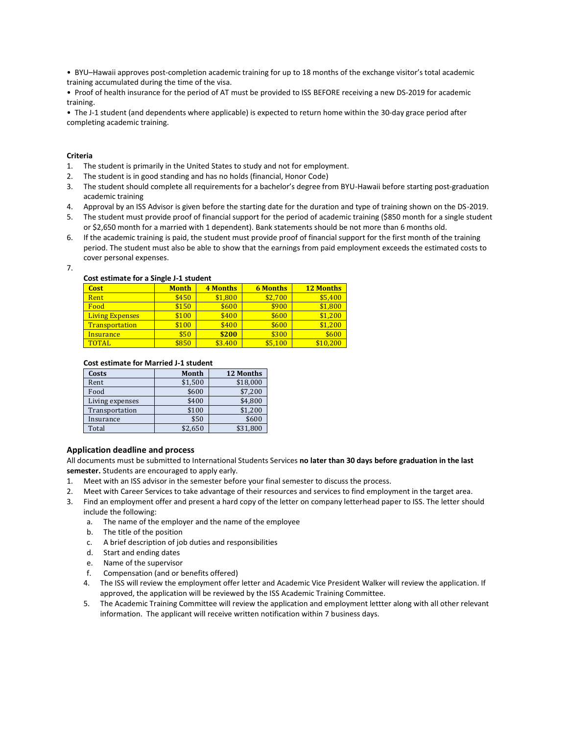• BYU–Hawaii approves post-completion academic training for up to 18 months of the exchange visitor's total academic training accumulated during the time of the visa.

 • Proof of health insurance for the period of AT must be provided to ISS BEFORE receiving a new DS-2019 for academic training.

• The J-1 student (and dependents where applicable) is expected to return home within the 30-day grace period after completing academic training[.](https://am.nafsa.org/manual/56-j-1-exchange-visitors/373-college-and-university-students/410-academic-training-for-j-1-students)

### **Criteria**

- 1. The student is primarily in the United States to study and not for employment.
- 2. The student is in good standing and has no holds (financial, Honor Code)
- 3. The student should complete all requirements for a bachelor's degree from BYU-Hawaii before starting post-graduation academic training
- 4. Approval by an ISS Advisor is given before the starting date for the duration and type of training shown on the DS-2019.
- 5. The student must provide proof of financial support for the period of academic training (\$850 month for a single student or \$2,650 month for a married with 1 dependent). Bank statements should be not more than 6 months old.
- 6. If the academic training is paid, the student must provide proof of financial support for the first month of the training period. The student must also be able to show that the earnings from paid employment exceeds the estimated costs to cover personal expenses.

7.

### **Cost estimate for a Single J-1 student**

| <b>Cost</b>            | <b>Month</b> | <b>4 Months</b> | <b>6 Months</b> | <b>12 Months</b> |
|------------------------|--------------|-----------------|-----------------|------------------|
| Rent                   | \$450        | \$1,800         | \$2.700         | \$5,400          |
| Food                   | \$150        | \$600           | \$900           | \$1,800          |
| <b>Living Expenses</b> | \$100        | \$400           | \$600           | \$1,200          |
| <b>Transportation</b>  | \$100        | \$400           | \$600           | \$1,200          |
| <b>Insurance</b>       | \$50         | \$200           | \$300           | \$600            |
| TOTAL                  | \$850        | \$3.400         | \$5.100         | \$10.200         |

#### **Cost estimate for Married J-1 student**

| Costs           | Month   | <b>12 Months</b> |
|-----------------|---------|------------------|
| Rent            | \$1,500 | \$18,000         |
| Food            | \$600   | \$7.200          |
| Living expenses | \$400   | \$4.800          |
| Transportation  | \$100   | \$1,200          |
| Insurance       | \$50    | \$600            |
| Total           | \$2.650 | \$31,800         |

### **Application deadline and process**

All documents must be submitted to International Students Services **no later than 30 days before graduation in the last semester.** Students are encouraged to apply early.

- 1. Meet with an ISS advisor in the semester before your final semester to discuss the process.
- 2. Meet with Career Services to take advantage of their resources and services to find employment in the target area.
- 3. Find an employment offer and present a hard copy of the letter on company letterhead paper to ISS. The letter should include the following:
	- a. The name of the employer and the name of the employee
	- b. The title of the position
	- c. A brief description of job duties and responsibilities
	- d. Start and ending dates
	- e. Name of the supervisor
	- f. Compensation (and or benefits offered)
	- 4. The ISS will review the employment offer letter and Academic Vice President Walker will review the application. If approved, the application will be reviewed by the ISS Academic Training Committee.
	- 5. The Academic Training Committee will review the application and employment lettter along with all other relevant information. The applicant will receive written notification within 7 business days.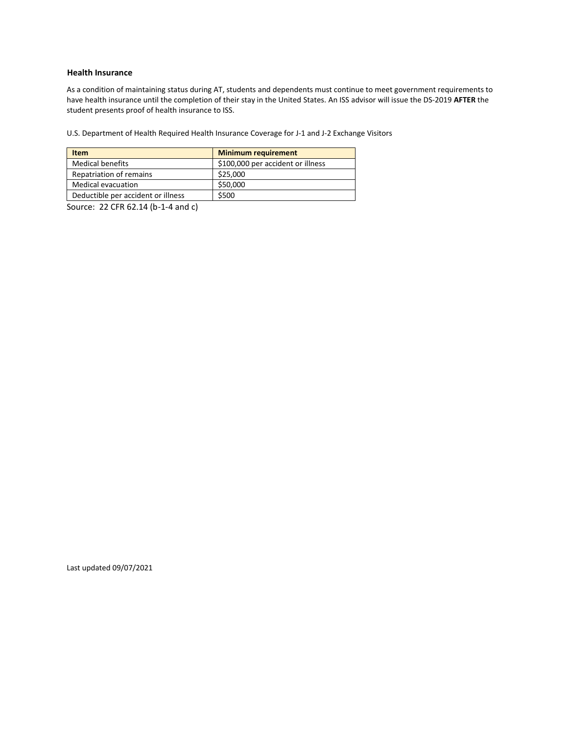# **Health Insurance**

As a condition of maintaining status during AT, students and dependents must continue to meet government requirements to have health insurance until the completion of their stay in the United States. An ISS advisor will issue the DS-2019 **AFTER** the student presents proof of health insurance to ISS.

U.S. Department of Health Required Health Insurance Coverage for J-1 and J-2 Exchange Visitors

| <b>Item</b>                        | <b>Minimum requirement</b>        |
|------------------------------------|-----------------------------------|
| <b>Medical benefits</b>            | \$100,000 per accident or illness |
| Repatriation of remains            | \$25,000                          |
| Medical evacuation                 | \$50,000                          |
| Deductible per accident or illness | \$500                             |

Source: 22 CFR 62.14 (b-1-4 and c)

Last updated 09/07/2021